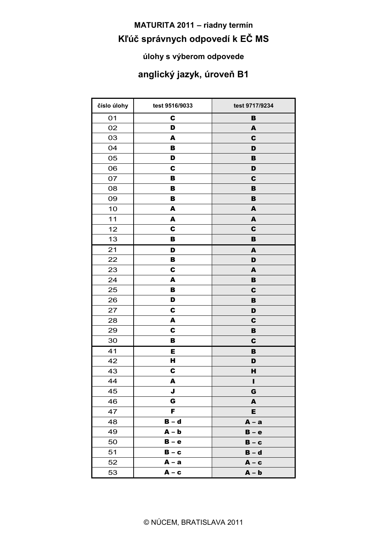## **MATURITA 2011 - riadny termín** Kľúč správnych odpovedí k EČ MS

#### úlohy s výberom odpovede

### anglický jazyk, úroveň B1

<u> 1980 - Andrea Andrew Maria (h. 1980).</u>

| číslo úlohy | test 9516/9033 | test 9717/9234   |
|-------------|----------------|------------------|
| 01          | C              | B                |
| 02          | D              | A                |
| 03          | A              | C                |
| 04          | B              | D                |
| 05          | D              | B                |
| 06          | C              | D                |
| 07          | B              | $\mathbf c$      |
| 08          | в              | B                |
| 09          | в              | в                |
| 10          | A              | $\blacktriangle$ |
| $11$        | A              | $\blacktriangle$ |
| 12          | C              | $\mathbf C$      |
| 13          | B              | в                |
| 21          | D              | A                |
| 22          | в              | D                |
| 23          | C              | A                |
| 24          | A              | $\, {\bf B}$     |
| 25          | в              | $\mathbf c$      |
| 26          | D              | B                |
| 27          | C              | D                |
| 28          | A              | $\mathbf c$      |
| 29          | C              | B                |
| 30          | В              | $\mathbf c$      |
| 41          | E              | в                |
| 42          | н              | D                |
| 43          | C              | н                |
| 44          | A              | I                |
| 45          | Π.             | G                |
| 46          | G              | A                |
| 47          | F              | Е                |
| 48          | $B - d$        | $A - a$          |
| 49          | $A - b$        | $B - e$          |
| 50          | $B - e$        | $B - c$          |
| 51          | $B - c$        | $B - d$          |
| 52          | A – a          | $A - c$          |
| 53          | $A - c$        | $A - b$          |